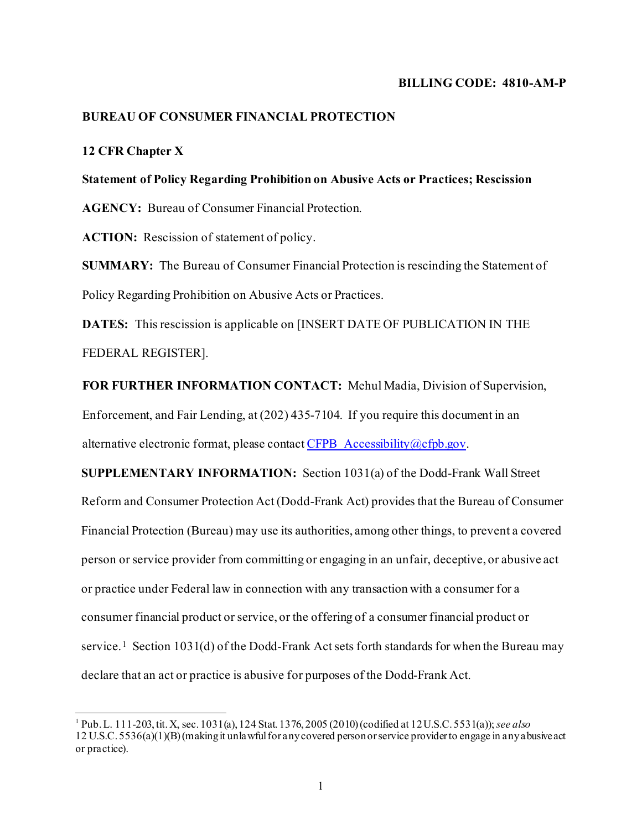## **BILLING CODE: 4810-AM-P**

## **BUREAU OF CONSUMER FINANCIAL PROTECTION**

## **12 CFR Chapter X**

## **Statement of Policy Regarding Prohibition on Abusive Acts or Practices; Rescission**

**AGENCY:** Bureau of Consumer Financial Protection.

**ACTION:** Rescission of statement of policy.

**SUMMARY:** The Bureau of Consumer Financial Protection is rescinding the Statement of Policy Regarding Prohibition on Abusive Acts or Practices.

**DATES:** This rescission is applicable on [INSERT DATE OF PUBLICATION IN THE FEDERAL REGISTER].

**FOR FURTHER INFORMATION CONTACT:** Mehul Madia, Division of Supervision, Enforcement, and Fair Lending, at (202) 435-7104. If you require this document in an alternative electronic format, please contac[t CFPB\\_Accessibility@cfpb.gov](mailto:CFPB_Accessibility@cfpb.gov).

**SUPPLEMENTARY INFORMATION:** Section 1031(a) of the Dodd-Frank Wall Street Reform and Consumer Protection Act (Dodd-Frank Act) provides that the Bureau of Consumer Financial Protection (Bureau) may use its authorities, among other things, to prevent a covered person or service provider from committing or engaging in an unfair, deceptive, or abusive act or practice under Federal law in connection with any transaction with a consumer for a consumer financial product or service, or the offering of a consumer financial product or service.<sup>[1](#page-0-0)</sup> Section 1031(d) of the Dodd-Frank Act sets forth standards for when the Bureau may declare that an act or practice is abusive for purposes of the Dodd-Frank Act.

<span id="page-0-0"></span><sup>1</sup> Pub. L. 111-203, tit. X, sec. 1031(a), 124 Stat. 1376, 2005 (2010) (codified at 12 U.S.C. 5531(a)); *see also* 12 U.S.C. 5536(a)(1)(B) (making it unlawful for any covered person or service provider to engage in any abusive act or practice).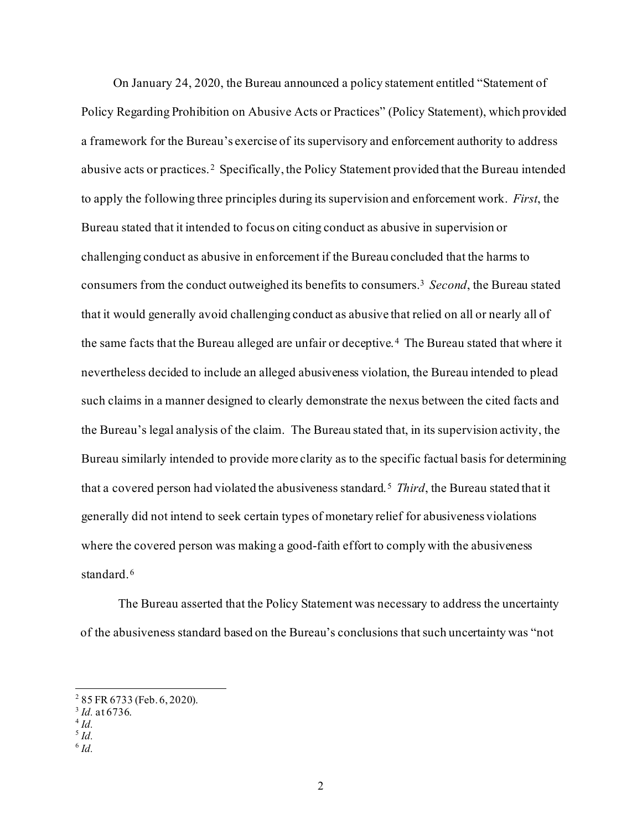On January 24, 2020, the Bureau announced a policy statement entitled "Statement of Policy Regarding Prohibition on Abusive Acts or Practices" (Policy Statement), which provided a framework for the Bureau's exercise of its supervisory and enforcement authority to address abusive acts or practices. [2](#page-1-0) Specifically, the Policy Statement provided that the Bureau intended to apply the following three principles during its supervision and enforcement work. *First*, the Bureau stated that it intended to focus on citing conduct as abusive in supervision or challenging conduct as abusive in enforcement if the Bureau concluded that the harms to consumers from the conduct outweighed its benefits to consumers.[3](#page-1-1) *Second*, the Bureau stated that it would generally avoid challenging conduct as abusive that relied on all or nearly all of the same facts that the Bureau alleged are unfair or deceptive. [4](#page-1-2) The Bureau stated that where it nevertheless decided to include an alleged abusiveness violation, the Bureau intended to plead such claims in a manner designed to clearly demonstrate the nexus between the cited facts and the Bureau's legal analysis of the claim. The Bureau stated that, in its supervision activity, the Bureau similarly intended to provide more clarity as to the specific factual basis for determining that a covered person had violated the abusiveness standard.[5](#page-1-3) *Third*, the Bureau stated that it generally did not intend to seek certain types of monetary relief for abusiveness violations where the covered person was making a good-faith effort to comply with the abusiveness standard. [6](#page-1-4)

The Bureau asserted that the Policy Statement was necessary to address the uncertainty of the abusiveness standard based on the Bureau's conclusions that such uncertainty was "not

<span id="page-1-0"></span> $2$  85 FR 6733 (Feb. 6, 2020).

<sup>&</sup>lt;sup>3</sup> *Id.* at 6736.

<span id="page-1-2"></span><span id="page-1-1"></span> $^{4}$  *Id.*<br> $^{5}$  *Id.* 

<span id="page-1-4"></span><span id="page-1-3"></span>

<sup>6</sup> *Id.*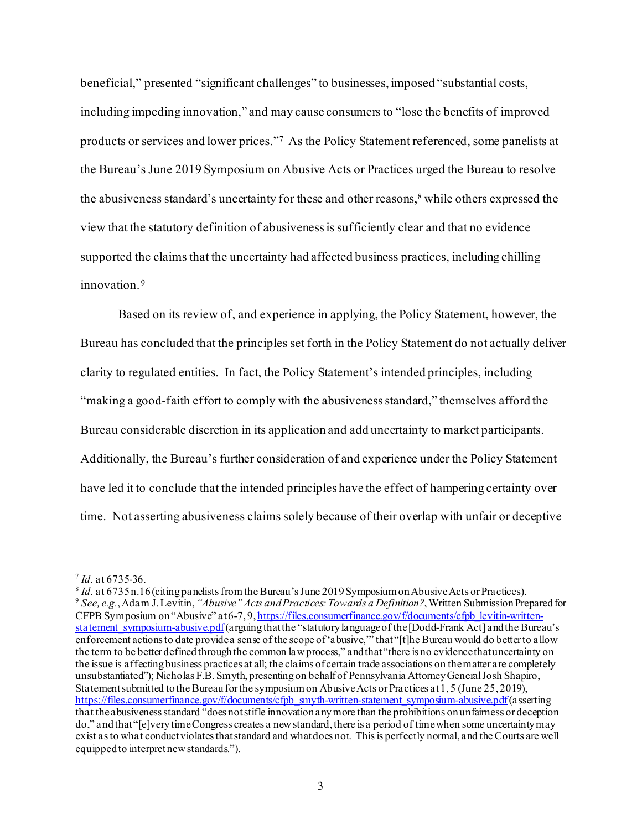beneficial," presented "significant challenges" to businesses, imposed "substantial costs, including impeding innovation," and may cause consumers to "lose the benefits of improved products or services and lower prices.["7](#page-2-0) As the Policy Statement referenced, some panelists at the Bureau's June 2019 Symposium on Abusive Acts or Practices urged the Bureau to resolve the abusiveness standard's uncertainty for these and other reasons,<sup>8</sup> while others expressed the view that the statutory definition of abusiveness is sufficiently clear and that no evidence supported the claims that the uncertainty had affected business practices, including chilling innovation.<sup>[9](#page-2-2)</sup>

Based on its review of, and experience in applying, the Policy Statement, however, the Bureau has concluded that the principles set forth in the Policy Statement do not actually deliver clarity to regulated entities. In fact, the Policy Statement's intended principles, including "making a good-faith effort to comply with the abusiveness standard," themselves afford the Bureau considerable discretion in its application and add uncertainty to market participants. Additionally, the Bureau's further consideration of and experience under the Policy Statement have led it to conclude that the intended principles have the effect of hampering certainty over time. Not asserting abusiveness claims solely because of their overlap with unfair or deceptive

<span id="page-2-2"></span><span id="page-2-1"></span><span id="page-2-0"></span> $\frac{7}{1}$  *Id.* at 6735-36.<br> $\frac{8}{1}$  *Id.* at 6735 n.16 (citing panelists from the Bureau's June 2019 Symposium on Abusive Acts or Practices). <sup>9</sup> See, e.g., Adam J. Levitin, "Abusive" Acts and Practices: Towards a Definition?, Written Submission Prepared for CFPB Symposium on "Abusive" at 6-7, 9[, https://files.consumerfinance.gov/f/documents/cfpb\\_levitin-written](https://files.consumerfinance.gov/f/documents/cfpb_levitin-written-statement_symposium-abusive.pdf)[statement\\_symposium-abusive.pdf](https://files.consumerfinance.gov/f/documents/cfpb_levitin-written-statement_symposium-abusive.pdf)(arguing that the "statutory language of the [Dodd-Frank Act] and the Bureau's enforcement actions to date provide a sense of the scope of 'abusive,'" that "[t]he Bureau would do better to allow the term to be better defined through the common law process," and that "there is no evidence that uncertainty on the issue is affecting business practices at all; the claims of certain trade associations on the matter are completely unsubstantiated"); Nicholas F.B. Smyth, presenting on behalf of Pennsylvania Attorney General Josh Shapiro, Statement submitted to the Bureau for the symposium on Abusive Acts or Practices at 1, 5 (June 25, 2019), [https://files.consumerfinance.gov/f/documents/cfpb\\_smyth-written-statement\\_symposium-abusive.pdf](https://files.consumerfinance.gov/f/documents/cfpb_smyth-written-statement_symposium-abusive.pdf)(asserting that the abusiveness standard "does not stifle innovation any more than the prohibitions on unfairness or deception do," and that "[e]very time Congress creates a new standard, there is a period of time when some uncertainty may exist as to what conduct violates that standard and what does not. This is perfectly normal, and the Courts are well equipped to interpret new standards.").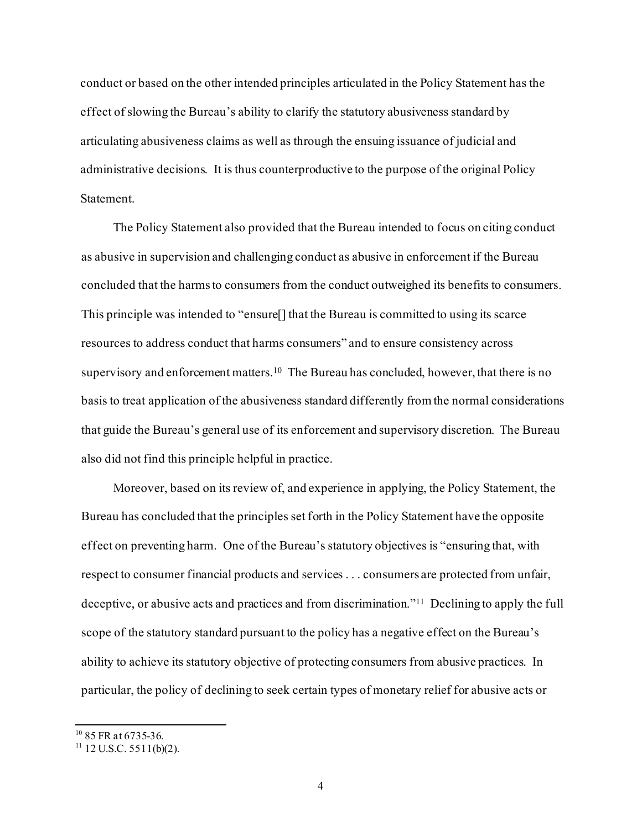conduct or based on the other intended principles articulated in the Policy Statement has the effect of slowing the Bureau's ability to clarify the statutory abusiveness standard by articulating abusiveness claims as well as through the ensuing issuance of judicial and administrative decisions. It is thus counterproductive to the purpose of the original Policy Statement.

The Policy Statement also provided that the Bureau intended to focus on citing conduct as abusive in supervision and challenging conduct as abusive in enforcement if the Bureau concluded that the harms to consumers from the conduct outweighed its benefits to consumers. This principle was intended to "ensure[] that the Bureau is committed to using its scarce resources to address conduct that harms consumers" and to ensure consistency across supervisory and enforcement matters.<sup>10</sup> The Bureau has concluded, however, that there is no basis to treat application of the abusiveness standard differently from the normal considerations that guide the Bureau's general use of its enforcement and supervisory discretion. The Bureau also did not find this principle helpful in practice.

Moreover, based on its review of, and experience in applying, the Policy Statement, the Bureau has concluded that the principles set forth in the Policy Statement have the opposite effect on preventing harm. One of the Bureau's statutory objectives is "ensuring that, with respect to consumer financial products and services . . . consumers are protected from unfair, deceptive, or abusive acts and practices and from discrimination."[11](#page-3-1) Declining to apply the full scope of the statutory standard pursuant to the policy has a negative effect on the Bureau's ability to achieve its statutory objective of protecting consumers from abusive practices. In particular, the policy of declining to seek certain types of monetary relief for abusive acts or

<span id="page-3-0"></span> $10$  85 FR at 6735-36.

<span id="page-3-1"></span> $11$  12 U.S.C. 5511(b)(2).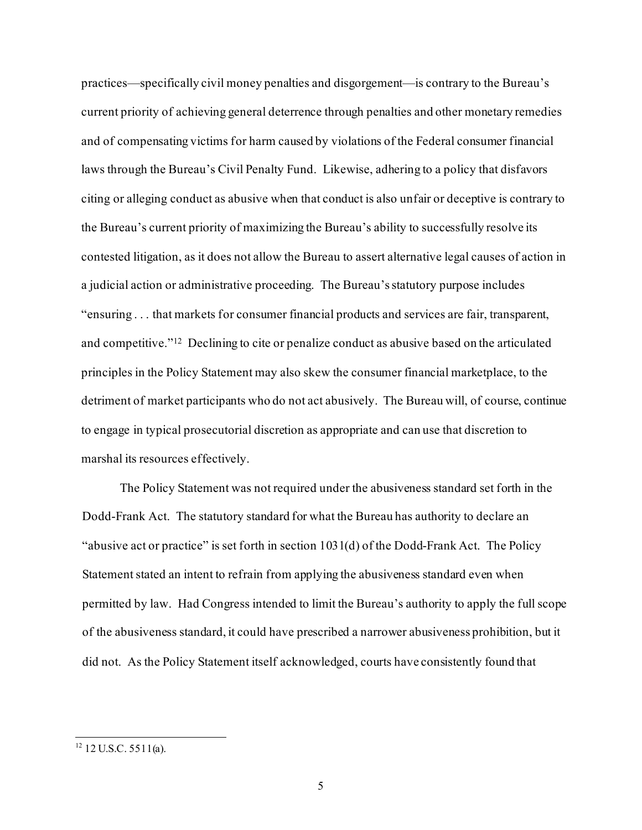practices—specifically civil money penalties and disgorgement—is contrary to the Bureau's current priority of achieving general deterrence through penalties and other monetary remedies and of compensating victims for harm caused by violations of the Federal consumer financial laws through the Bureau's Civil Penalty Fund. Likewise, adhering to a policy that disfavors citing or alleging conduct as abusive when that conduct is also unfair or deceptive is contrary to the Bureau's current priority of maximizing the Bureau's ability to successfully resolve its contested litigation, as it does not allow the Bureau to assert alternative legal causes of action in a judicial action or administrative proceeding. The Bureau's statutory purpose includes "ensuring . . . that markets for consumer financial products and services are fair, transparent, and competitive."[12](#page-4-0) Declining to cite or penalize conduct as abusive based on the articulated principles in the Policy Statement may also skew the consumer financial marketplace, to the detriment of market participants who do not act abusively. The Bureau will, of course, continue to engage in typical prosecutorial discretion as appropriate and can use that discretion to marshal its resources effectively.

The Policy Statement was not required under the abusiveness standard set forth in the Dodd-Frank Act. The statutory standard for what the Bureau has authority to declare an "abusive act or practice" is set forth in section 1031(d) of the Dodd-Frank Act. The Policy Statement stated an intent to refrain from applying the abusiveness standard even when permitted by law. Had Congress intended to limit the Bureau's authority to apply the full scope of the abusiveness standard, it could have prescribed a narrower abusiveness prohibition, but it did not. As the Policy Statement itself acknowledged, courts have consistently found that

<span id="page-4-0"></span> $12$  U.S.C. 5511(a).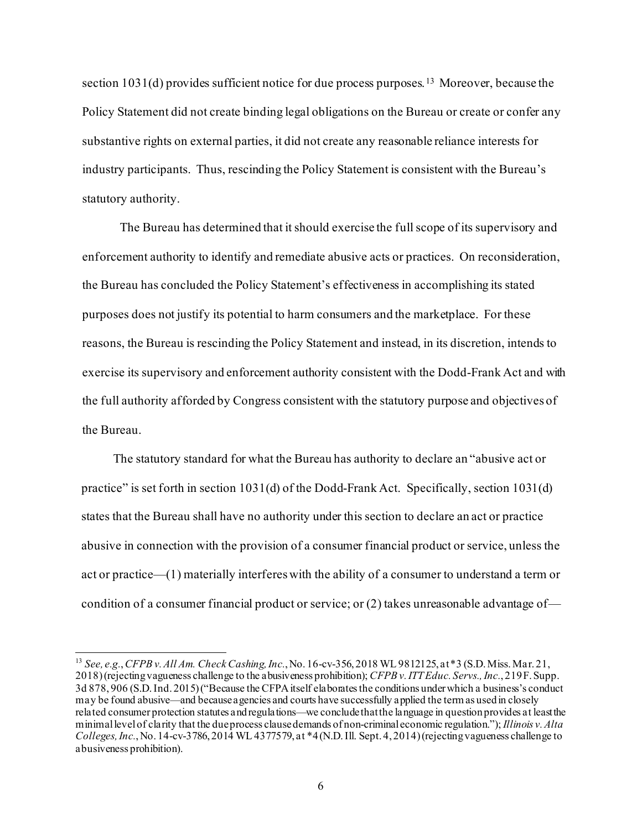section  $1031(d)$  provides sufficient notice for due process purposes. <sup>[13](#page-5-0)</sup> Moreover, because the Policy Statement did not create binding legal obligations on the Bureau or create or confer any substantive rights on external parties, it did not create any reasonable reliance interests for industry participants. Thus, rescinding the Policy Statement is consistent with the Bureau's statutory authority.

The Bureau has determined that it should exercise the full scope of its supervisory and enforcement authority to identify and remediate abusive acts or practices. On reconsideration, the Bureau has concluded the Policy Statement's effectiveness in accomplishing its stated purposes does not justify its potential to harm consumers and the marketplace. For these reasons, the Bureau is rescinding the Policy Statement and instead, in its discretion, intends to exercise its supervisory and enforcement authority consistent with the Dodd-Frank Act and with the full authority afforded by Congress consistent with the statutory purpose and objectives of the Bureau.

The statutory standard for what the Bureau has authority to declare an "abusive act or practice" is set forth in section 1031(d) of the Dodd-Frank Act. Specifically, section 1031(d) states that the Bureau shall have no authority under this section to declare an act or practice abusive in connection with the provision of a consumer financial product or service, unless the act or practice—(1) materially interferes with the ability of a consumer to understand a term or condition of a consumer financial product or service; or (2) takes unreasonable advantage of—

<span id="page-5-0"></span><sup>13</sup> *See, e.g.*, *CFPB v. All Am. Check Cashing, Inc.*, No. 16-cv-356, 2018 WL 9812125, at \*3 (S.D. Miss. Mar. 21, 2018) (rejecting vagueness challenge to the abusiveness prohibition); *CFPB v. ITT Educ. Servs., Inc.*, 219 F. Supp. 3d 878, 906 (S.D. Ind. 2015)("Because the CFPA itself elaborates the conditions under which a business's conduct may be found abusive—and because agencies and courts have successfully applied the term as used in closely related consumer protection statutes and regulations—we conclude that the language in question provides at least the minimal level of clarity that the due process clause demands of non-criminal economic regulation."); *Illinois v. Alta Colleges, Inc.*, No. 14-cv-3786, 2014 WL 4377579, at \*4 (N.D. Ill. Sept. 4, 2014) (rejecting vagueness challenge to abusiveness prohibition).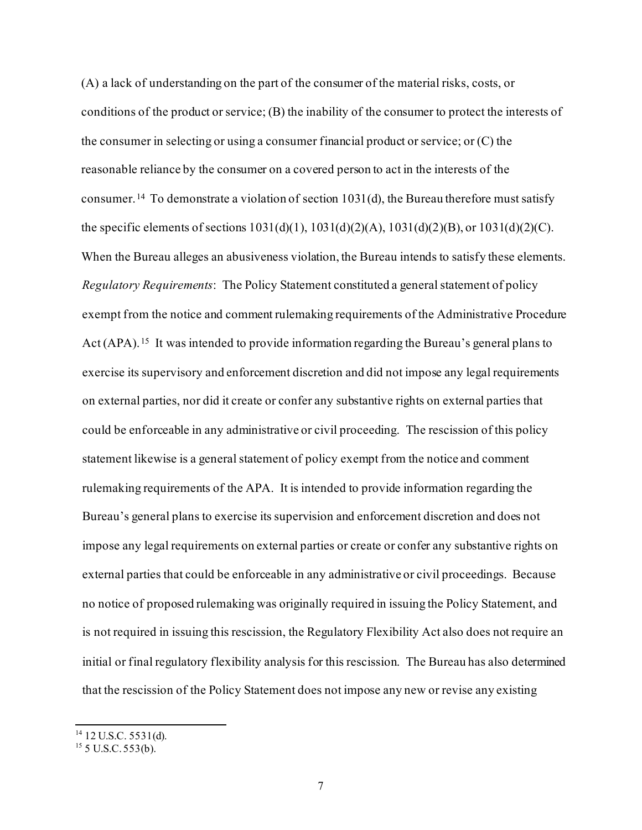(A) a lack of understanding on the part of the consumer of the material risks, costs, or conditions of the product or service; (B) the inability of the consumer to protect the interests of the consumer in selecting or using a consumer financial product or service; or (C) the reasonable reliance by the consumer on a covered person to act in the interests of the consumer. [14](#page-6-0) To demonstrate a violation of section 1031(d), the Bureau therefore must satisfy the specific elements of sections  $1031(d)(1)$ ,  $1031(d)(2)(A)$ ,  $1031(d)(2)(B)$ , or  $1031(d)(2)(C)$ . When the Bureau alleges an abusiveness violation, the Bureau intends to satisfy these elements. *Regulatory Requirements*: The Policy Statement constituted a general statement of policy exempt from the notice and comment rulemaking requirements of the Administrative Procedure Act (APA).<sup>[15](#page-6-1)</sup> It was intended to provide information regarding the Bureau's general plans to exercise its supervisory and enforcement discretion and did not impose any legal requirements on external parties, nor did it create or confer any substantive rights on external parties that could be enforceable in any administrative or civil proceeding. The rescission of this policy statement likewise is a general statement of policy exempt from the notice and comment rulemaking requirements of the APA. It is intended to provide information regarding the Bureau's general plans to exercise its supervision and enforcement discretion and does not impose any legal requirements on external parties or create or confer any substantive rights on external parties that could be enforceable in any administrative or civil proceedings. Because no notice of proposed rulemaking was originally required in issuing the Policy Statement, and is not required in issuing this rescission, the Regulatory Flexibility Act also does not require an initial or final regulatory flexibility analysis for this rescission. The Bureau has also determined that the rescission of the Policy Statement does not impose any new or revise any existing

<span id="page-6-0"></span> $14$  12 U.S.C. 5531(d).

<span id="page-6-1"></span> $15$  5 U.S.C. 553(b).